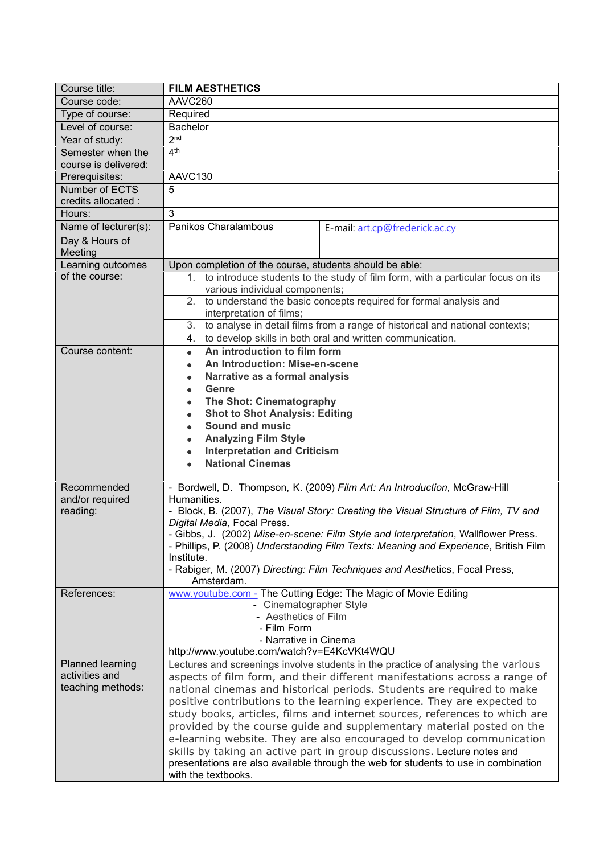| Course title:                       | <b>FILM AESTHETICS</b>                                                                                                                                                                           |                                                                                                                                                                |  |
|-------------------------------------|--------------------------------------------------------------------------------------------------------------------------------------------------------------------------------------------------|----------------------------------------------------------------------------------------------------------------------------------------------------------------|--|
| Course code:                        | AAVC260                                                                                                                                                                                          |                                                                                                                                                                |  |
| Type of course:                     | Required                                                                                                                                                                                         |                                                                                                                                                                |  |
| Level of course:                    | <b>Bachelor</b>                                                                                                                                                                                  |                                                                                                                                                                |  |
| Year of study:                      | 2 <sub>nd</sub>                                                                                                                                                                                  |                                                                                                                                                                |  |
| Semester when the                   | 4 <sup>th</sup>                                                                                                                                                                                  |                                                                                                                                                                |  |
| course is delivered:                |                                                                                                                                                                                                  |                                                                                                                                                                |  |
| Prerequisites:                      | AAVC130                                                                                                                                                                                          |                                                                                                                                                                |  |
| Number of ECTS                      | 5                                                                                                                                                                                                |                                                                                                                                                                |  |
| credits allocated :<br>Hours:       | 3                                                                                                                                                                                                |                                                                                                                                                                |  |
| Name of lecturer(s):                | Panikos Charalambous                                                                                                                                                                             |                                                                                                                                                                |  |
| Day & Hours of                      |                                                                                                                                                                                                  | E-mail: art.cp@frederick.ac.cy                                                                                                                                 |  |
| Meeting                             |                                                                                                                                                                                                  |                                                                                                                                                                |  |
| Learning outcomes                   | Upon completion of the course, students should be able:                                                                                                                                          |                                                                                                                                                                |  |
| of the course:                      | 1. to introduce students to the study of film form, with a particular focus on its                                                                                                               |                                                                                                                                                                |  |
|                                     | various individual components;                                                                                                                                                                   |                                                                                                                                                                |  |
|                                     | 2. to understand the basic concepts required for formal analysis and                                                                                                                             |                                                                                                                                                                |  |
|                                     | interpretation of films;<br>to analyse in detail films from a range of historical and national contexts;<br>3.<br>to develop skills in both oral and written communication.<br>4.                |                                                                                                                                                                |  |
|                                     |                                                                                                                                                                                                  |                                                                                                                                                                |  |
|                                     |                                                                                                                                                                                                  |                                                                                                                                                                |  |
| Course content:                     | An introduction to film form<br>$\bullet$                                                                                                                                                        |                                                                                                                                                                |  |
|                                     | An Introduction: Mise-en-scene<br>۰                                                                                                                                                              |                                                                                                                                                                |  |
|                                     | Narrative as a formal analysis                                                                                                                                                                   |                                                                                                                                                                |  |
|                                     | Genre<br>$\bullet$                                                                                                                                                                               |                                                                                                                                                                |  |
|                                     | The Shot: Cinematography<br>$\bullet$                                                                                                                                                            |                                                                                                                                                                |  |
|                                     | <b>Shot to Shot Analysis: Editing</b><br>$\bullet$                                                                                                                                               |                                                                                                                                                                |  |
|                                     | Sound and music                                                                                                                                                                                  |                                                                                                                                                                |  |
|                                     | <b>Analyzing Film Style</b>                                                                                                                                                                      |                                                                                                                                                                |  |
|                                     | <b>Interpretation and Criticism</b><br><b>National Cinemas</b>                                                                                                                                   |                                                                                                                                                                |  |
|                                     |                                                                                                                                                                                                  |                                                                                                                                                                |  |
| Recommended                         | - Bordwell, D. Thompson, K. (2009) Film Art: An Introduction, McGraw-Hill                                                                                                                        |                                                                                                                                                                |  |
| and/or required                     | Humanities.                                                                                                                                                                                      |                                                                                                                                                                |  |
| reading:                            | - Block, B. (2007), The Visual Story: Creating the Visual Structure of Film, TV and                                                                                                              |                                                                                                                                                                |  |
|                                     | Digital Media, Focal Press.                                                                                                                                                                      |                                                                                                                                                                |  |
|                                     | - Gibbs, J. (2002) Mise-en-scene: Film Style and Interpretation, Wallflower Press.                                                                                                               |                                                                                                                                                                |  |
|                                     | - Phillips, P. (2008) Understanding Film Texts: Meaning and Experience, British Film<br>Institute.<br>- Rabiger, M. (2007) Directing: Film Techniques and Aesthetics, Focal Press,<br>Amsterdam. |                                                                                                                                                                |  |
|                                     |                                                                                                                                                                                                  |                                                                                                                                                                |  |
|                                     |                                                                                                                                                                                                  |                                                                                                                                                                |  |
| References:                         | www.youtube.com - The Cutting Edge: The Magic of Movie Editing                                                                                                                                   |                                                                                                                                                                |  |
|                                     | - Cinematographer Style                                                                                                                                                                          |                                                                                                                                                                |  |
|                                     | - Aesthetics of Film                                                                                                                                                                             |                                                                                                                                                                |  |
|                                     | - Film Form                                                                                                                                                                                      |                                                                                                                                                                |  |
|                                     | - Narrative in Cinema                                                                                                                                                                            |                                                                                                                                                                |  |
|                                     | http://www.youtube.com/watch?v=E4KcVKt4WQU                                                                                                                                                       |                                                                                                                                                                |  |
| Planned learning                    | Lectures and screenings involve students in the practice of analysing the various                                                                                                                |                                                                                                                                                                |  |
| activities and<br>teaching methods: | aspects of film form, and their different manifestations across a range of                                                                                                                       |                                                                                                                                                                |  |
|                                     | national cinemas and historical periods. Students are required to make                                                                                                                           |                                                                                                                                                                |  |
|                                     | positive contributions to the learning experience. They are expected to                                                                                                                          |                                                                                                                                                                |  |
|                                     | study books, articles, films and internet sources, references to which are<br>provided by the course guide and supplementary material posted on the                                              |                                                                                                                                                                |  |
|                                     |                                                                                                                                                                                                  |                                                                                                                                                                |  |
|                                     |                                                                                                                                                                                                  | e-learning website. They are also encouraged to develop communication                                                                                          |  |
|                                     |                                                                                                                                                                                                  | skills by taking an active part in group discussions. Lecture notes and<br>presentations are also available through the web for students to use in combination |  |
|                                     | with the textbooks.                                                                                                                                                                              |                                                                                                                                                                |  |